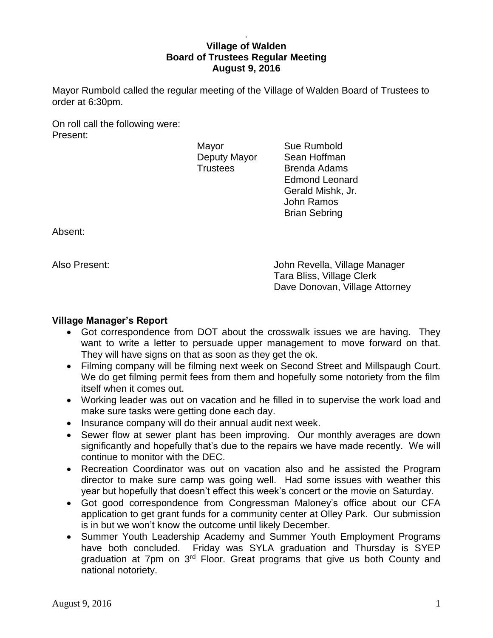## . **Village of Walden Board of Trustees Regular Meeting August 9, 2016**

Mayor Rumbold called the regular meeting of the Village of Walden Board of Trustees to order at 6:30pm.

On roll call the following were: Present:

Mayor Sue Rumbold

Deputy Mayor Sean Hoffman Trustees Brenda Adams Edmond Leonard Gerald Mishk, Jr. John Ramos Brian Sebring

Absent:

Also Present: John Revella, Village Manager Tara Bliss, Village Clerk Dave Donovan, Village Attorney

# **Village Manager's Report**

- Got correspondence from DOT about the crosswalk issues we are having. They want to write a letter to persuade upper management to move forward on that. They will have signs on that as soon as they get the ok.
- Filming company will be filming next week on Second Street and Millspaugh Court. We do get filming permit fees from them and hopefully some notoriety from the film itself when it comes out.
- Working leader was out on vacation and he filled in to supervise the work load and make sure tasks were getting done each day.
- Insurance company will do their annual audit next week.
- Sewer flow at sewer plant has been improving. Our monthly averages are down significantly and hopefully that's due to the repairs we have made recently. We will continue to monitor with the DEC.
- Recreation Coordinator was out on vacation also and he assisted the Program director to make sure camp was going well. Had some issues with weather this year but hopefully that doesn't effect this week's concert or the movie on Saturday.
- Got good correspondence from Congressman Maloney's office about our CFA application to get grant funds for a community center at Olley Park. Our submission is in but we won't know the outcome until likely December.
- Summer Youth Leadership Academy and Summer Youth Employment Programs have both concluded. Friday was SYLA graduation and Thursday is SYEP graduation at 7pm on 3<sup>rd</sup> Floor. Great programs that give us both County and national notoriety.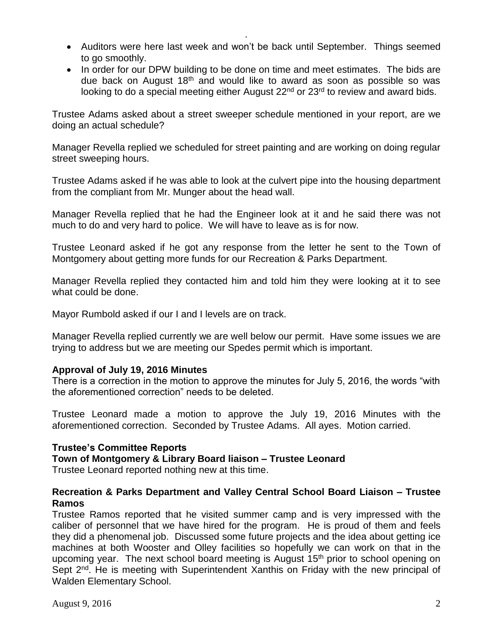Auditors were here last week and won't be back until September. Things seemed to go smoothly.

.

• In order for our DPW building to be done on time and meet estimates. The bids are due back on August  $18<sup>th</sup>$  and would like to award as soon as possible so was looking to do a special meeting either August 22<sup>nd</sup> or 23<sup>rd</sup> to review and award bids.

Trustee Adams asked about a street sweeper schedule mentioned in your report, are we doing an actual schedule?

Manager Revella replied we scheduled for street painting and are working on doing regular street sweeping hours.

Trustee Adams asked if he was able to look at the culvert pipe into the housing department from the compliant from Mr. Munger about the head wall.

Manager Revella replied that he had the Engineer look at it and he said there was not much to do and very hard to police. We will have to leave as is for now.

Trustee Leonard asked if he got any response from the letter he sent to the Town of Montgomery about getting more funds for our Recreation & Parks Department.

Manager Revella replied they contacted him and told him they were looking at it to see what could be done.

Mayor Rumbold asked if our I and I levels are on track.

Manager Revella replied currently we are well below our permit. Have some issues we are trying to address but we are meeting our Spedes permit which is important.

### **Approval of July 19, 2016 Minutes**

There is a correction in the motion to approve the minutes for July 5, 2016, the words "with the aforementioned correction" needs to be deleted.

Trustee Leonard made a motion to approve the July 19, 2016 Minutes with the aforementioned correction. Seconded by Trustee Adams. All ayes. Motion carried.

### **Trustee's Committee Reports**

**Town of Montgomery & Library Board liaison – Trustee Leonard**

Trustee Leonard reported nothing new at this time.

# **Recreation & Parks Department and Valley Central School Board Liaison – Trustee Ramos**

Trustee Ramos reported that he visited summer camp and is very impressed with the caliber of personnel that we have hired for the program. He is proud of them and feels they did a phenomenal job. Discussed some future projects and the idea about getting ice machines at both Wooster and Olley facilities so hopefully we can work on that in the upcoming year. The next school board meeting is August 15<sup>th</sup> prior to school opening on Sept 2<sup>nd</sup>. He is meeting with Superintendent Xanthis on Friday with the new principal of Walden Elementary School.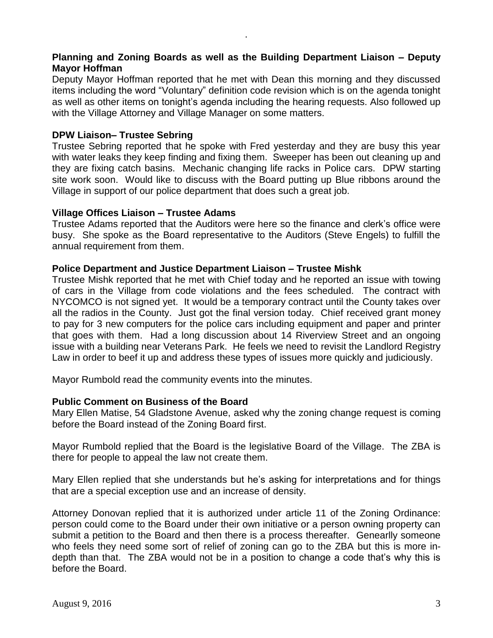# **Planning and Zoning Boards as well as the Building Department Liaison – Deputy Mayor Hoffman**

.

Deputy Mayor Hoffman reported that he met with Dean this morning and they discussed items including the word "Voluntary" definition code revision which is on the agenda tonight as well as other items on tonight's agenda including the hearing requests. Also followed up with the Village Attorney and Village Manager on some matters.

# **DPW Liaison– Trustee Sebring**

Trustee Sebring reported that he spoke with Fred yesterday and they are busy this year with water leaks they keep finding and fixing them. Sweeper has been out cleaning up and they are fixing catch basins. Mechanic changing life racks in Police cars. DPW starting site work soon. Would like to discuss with the Board putting up Blue ribbons around the Village in support of our police department that does such a great job.

### **Village Offices Liaison – Trustee Adams**

Trustee Adams reported that the Auditors were here so the finance and clerk's office were busy. She spoke as the Board representative to the Auditors (Steve Engels) to fulfill the annual requirement from them.

### **Police Department and Justice Department Liaison – Trustee Mishk**

Trustee Mishk reported that he met with Chief today and he reported an issue with towing of cars in the Village from code violations and the fees scheduled. The contract with NYCOMCO is not signed yet. It would be a temporary contract until the County takes over all the radios in the County. Just got the final version today. Chief received grant money to pay for 3 new computers for the police cars including equipment and paper and printer that goes with them. Had a long discussion about 14 Riverview Street and an ongoing issue with a building near Veterans Park. He feels we need to revisit the Landlord Registry Law in order to beef it up and address these types of issues more quickly and judiciously.

Mayor Rumbold read the community events into the minutes.

### **Public Comment on Business of the Board**

Mary Ellen Matise, 54 Gladstone Avenue, asked why the zoning change request is coming before the Board instead of the Zoning Board first.

Mayor Rumbold replied that the Board is the legislative Board of the Village. The ZBA is there for people to appeal the law not create them.

Mary Ellen replied that she understands but he's asking for interpretations and for things that are a special exception use and an increase of density.

Attorney Donovan replied that it is authorized under article 11 of the Zoning Ordinance: person could come to the Board under their own initiative or a person owning property can submit a petition to the Board and then there is a process thereafter. Genearlly someone who feels they need some sort of relief of zoning can go to the ZBA but this is more indepth than that. The ZBA would not be in a position to change a code that's why this is before the Board.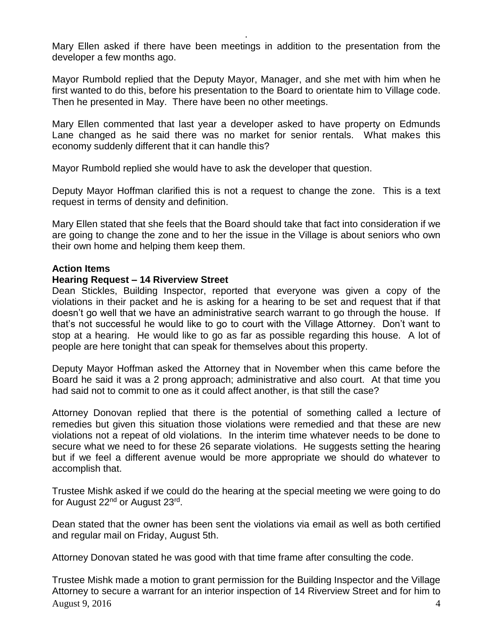Mary Ellen asked if there have been meetings in addition to the presentation from the developer a few months ago.

.

Mayor Rumbold replied that the Deputy Mayor, Manager, and she met with him when he first wanted to do this, before his presentation to the Board to orientate him to Village code. Then he presented in May. There have been no other meetings.

Mary Ellen commented that last year a developer asked to have property on Edmunds Lane changed as he said there was no market for senior rentals. What makes this economy suddenly different that it can handle this?

Mayor Rumbold replied she would have to ask the developer that question.

Deputy Mayor Hoffman clarified this is not a request to change the zone. This is a text request in terms of density and definition.

Mary Ellen stated that she feels that the Board should take that fact into consideration if we are going to change the zone and to her the issue in the Village is about seniors who own their own home and helping them keep them.

## **Action Items**

## **Hearing Request – 14 Riverview Street**

Dean Stickles, Building Inspector, reported that everyone was given a copy of the violations in their packet and he is asking for a hearing to be set and request that if that doesn't go well that we have an administrative search warrant to go through the house. If that's not successful he would like to go to court with the Village Attorney. Don't want to stop at a hearing. He would like to go as far as possible regarding this house. A lot of people are here tonight that can speak for themselves about this property.

Deputy Mayor Hoffman asked the Attorney that in November when this came before the Board he said it was a 2 prong approach; administrative and also court. At that time you had said not to commit to one as it could affect another, is that still the case?

Attorney Donovan replied that there is the potential of something called a lecture of remedies but given this situation those violations were remedied and that these are new violations not a repeat of old violations. In the interim time whatever needs to be done to secure what we need to for these 26 separate violations. He suggests setting the hearing but if we feel a different avenue would be more appropriate we should do whatever to accomplish that.

Trustee Mishk asked if we could do the hearing at the special meeting we were going to do for August 22<sup>nd</sup> or August 23<sup>rd</sup>.

Dean stated that the owner has been sent the violations via email as well as both certified and regular mail on Friday, August 5th.

Attorney Donovan stated he was good with that time frame after consulting the code.

August 9, 2016  $\frac{4}{3}$ Trustee Mishk made a motion to grant permission for the Building Inspector and the Village Attorney to secure a warrant for an interior inspection of 14 Riverview Street and for him to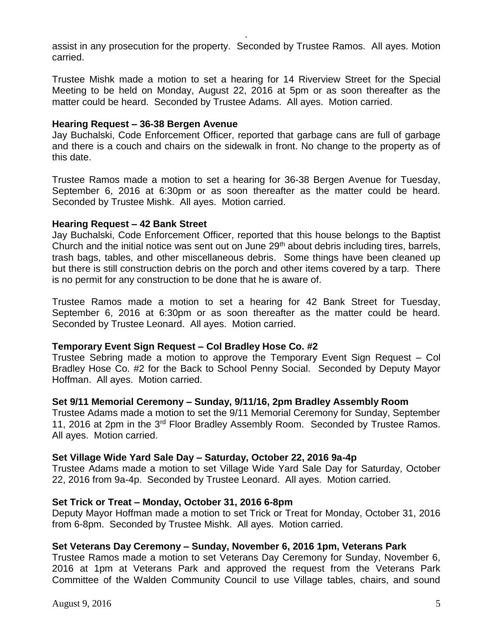assist in any prosecution for the property. Seconded by Trustee Ramos. All ayes. Motion carried.

.

Trustee Mishk made a motion to set a hearing for 14 Riverview Street for the Special Meeting to be held on Monday, August 22, 2016 at 5pm or as soon thereafter as the matter could be heard. Seconded by Trustee Adams. All ayes. Motion carried.

### **Hearing Request – 36-38 Bergen Avenue**

Jay Buchalski, Code Enforcement Officer, reported that garbage cans are full of garbage and there is a couch and chairs on the sidewalk in front. No change to the property as of this date.

Trustee Ramos made a motion to set a hearing for 36-38 Bergen Avenue for Tuesday, September 6, 2016 at 6:30pm or as soon thereafter as the matter could be heard. Seconded by Trustee Mishk. All ayes. Motion carried.

## **Hearing Request – 42 Bank Street**

Jay Buchalski, Code Enforcement Officer, reported that this house belongs to the Baptist Church and the initial notice was sent out on June 29<sup>th</sup> about debris including tires, barrels, trash bags, tables, and other miscellaneous debris. Some things have been cleaned up but there is still construction debris on the porch and other items covered by a tarp. There is no permit for any construction to be done that he is aware of.

Trustee Ramos made a motion to set a hearing for 42 Bank Street for Tuesday, September 6, 2016 at 6:30pm or as soon thereafter as the matter could be heard. Seconded by Trustee Leonard. All ayes. Motion carried.

### **Temporary Event Sign Request – Col Bradley Hose Co. #2**

Trustee Sebring made a motion to approve the Temporary Event Sign Request – Col Bradley Hose Co. #2 for the Back to School Penny Social. Seconded by Deputy Mayor Hoffman. All ayes. Motion carried.

# **Set 9/11 Memorial Ceremony – Sunday, 9/11/16, 2pm Bradley Assembly Room**

Trustee Adams made a motion to set the 9/11 Memorial Ceremony for Sunday, September 11, 2016 at 2pm in the 3<sup>rd</sup> Floor Bradley Assembly Room. Seconded by Trustee Ramos. All ayes. Motion carried.

# **Set Village Wide Yard Sale Day – Saturday, October 22, 2016 9a-4p**

Trustee Adams made a motion to set Village Wide Yard Sale Day for Saturday, October 22, 2016 from 9a-4p. Seconded by Trustee Leonard. All ayes. Motion carried.

# **Set Trick or Treat – Monday, October 31, 2016 6-8pm**

Deputy Mayor Hoffman made a motion to set Trick or Treat for Monday, October 31, 2016 from 6-8pm. Seconded by Trustee Mishk. All ayes. Motion carried.

# **Set Veterans Day Ceremony – Sunday, November 6, 2016 1pm, Veterans Park**

Trustee Ramos made a motion to set Veterans Day Ceremony for Sunday, November 6, 2016 at 1pm at Veterans Park and approved the request from the Veterans Park Committee of the Walden Community Council to use Village tables, chairs, and sound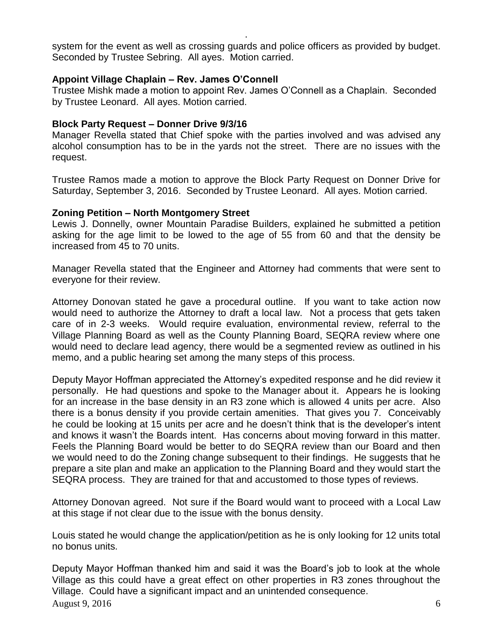system for the event as well as crossing guards and police officers as provided by budget. Seconded by Trustee Sebring. All ayes. Motion carried.

.

## **Appoint Village Chaplain – Rev. James O'Connell**

Trustee Mishk made a motion to appoint Rev. James O'Connell as a Chaplain. Seconded by Trustee Leonard. All ayes. Motion carried.

## **Block Party Request – Donner Drive 9/3/16**

Manager Revella stated that Chief spoke with the parties involved and was advised any alcohol consumption has to be in the yards not the street. There are no issues with the request.

Trustee Ramos made a motion to approve the Block Party Request on Donner Drive for Saturday, September 3, 2016. Seconded by Trustee Leonard. All ayes. Motion carried.

## **Zoning Petition – North Montgomery Street**

Lewis J. Donnelly, owner Mountain Paradise Builders, explained he submitted a petition asking for the age limit to be lowed to the age of 55 from 60 and that the density be increased from 45 to 70 units.

Manager Revella stated that the Engineer and Attorney had comments that were sent to everyone for their review.

Attorney Donovan stated he gave a procedural outline. If you want to take action now would need to authorize the Attorney to draft a local law. Not a process that gets taken care of in 2-3 weeks. Would require evaluation, environmental review, referral to the Village Planning Board as well as the County Planning Board, SEQRA review where one would need to declare lead agency, there would be a segmented review as outlined in his memo, and a public hearing set among the many steps of this process.

Deputy Mayor Hoffman appreciated the Attorney's expedited response and he did review it personally. He had questions and spoke to the Manager about it. Appears he is looking for an increase in the base density in an R3 zone which is allowed 4 units per acre. Also there is a bonus density if you provide certain amenities. That gives you 7. Conceivably he could be looking at 15 units per acre and he doesn't think that is the developer's intent and knows it wasn't the Boards intent. Has concerns about moving forward in this matter. Feels the Planning Board would be better to do SEQRA review than our Board and then we would need to do the Zoning change subsequent to their findings. He suggests that he prepare a site plan and make an application to the Planning Board and they would start the SEQRA process. They are trained for that and accustomed to those types of reviews.

Attorney Donovan agreed. Not sure if the Board would want to proceed with a Local Law at this stage if not clear due to the issue with the bonus density.

Louis stated he would change the application/petition as he is only looking for 12 units total no bonus units.

August 9, 2016  $\qquad \qquad 6$ Deputy Mayor Hoffman thanked him and said it was the Board's job to look at the whole Village as this could have a great effect on other properties in R3 zones throughout the Village. Could have a significant impact and an unintended consequence.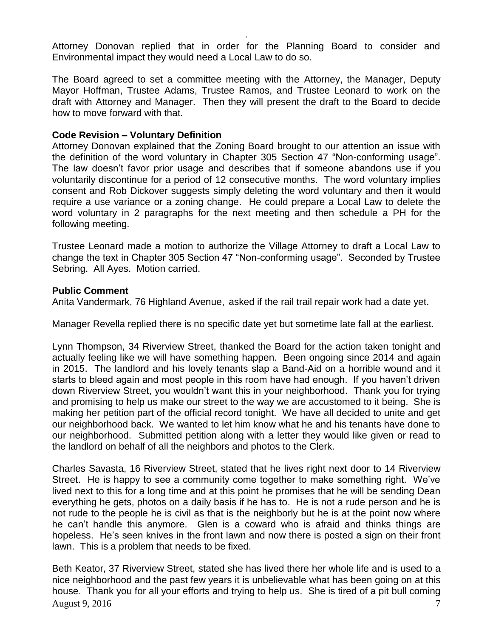Attorney Donovan replied that in order for the Planning Board to consider and Environmental impact they would need a Local Law to do so.

.

The Board agreed to set a committee meeting with the Attorney, the Manager, Deputy Mayor Hoffman, Trustee Adams, Trustee Ramos, and Trustee Leonard to work on the draft with Attorney and Manager. Then they will present the draft to the Board to decide how to move forward with that.

## **Code Revision – Voluntary Definition**

Attorney Donovan explained that the Zoning Board brought to our attention an issue with the definition of the word voluntary in Chapter 305 Section 47 "Non-conforming usage". The law doesn't favor prior usage and describes that if someone abandons use if you voluntarily discontinue for a period of 12 consecutive months. The word voluntary implies consent and Rob Dickover suggests simply deleting the word voluntary and then it would require a use variance or a zoning change. He could prepare a Local Law to delete the word voluntary in 2 paragraphs for the next meeting and then schedule a PH for the following meeting.

Trustee Leonard made a motion to authorize the Village Attorney to draft a Local Law to change the text in Chapter 305 Section 47 "Non-conforming usage". Seconded by Trustee Sebring. All Ayes. Motion carried.

## **Public Comment**

Anita Vandermark, 76 Highland Avenue, asked if the rail trail repair work had a date yet.

Manager Revella replied there is no specific date yet but sometime late fall at the earliest.

Lynn Thompson, 34 Riverview Street, thanked the Board for the action taken tonight and actually feeling like we will have something happen. Been ongoing since 2014 and again in 2015. The landlord and his lovely tenants slap a Band-Aid on a horrible wound and it starts to bleed again and most people in this room have had enough. If you haven't driven down Riverview Street, you wouldn't want this in your neighborhood. Thank you for trying and promising to help us make our street to the way we are accustomed to it being. She is making her petition part of the official record tonight. We have all decided to unite and get our neighborhood back. We wanted to let him know what he and his tenants have done to our neighborhood. Submitted petition along with a letter they would like given or read to the landlord on behalf of all the neighbors and photos to the Clerk.

Charles Savasta, 16 Riverview Street, stated that he lives right next door to 14 Riverview Street. He is happy to see a community come together to make something right. We've lived next to this for a long time and at this point he promises that he will be sending Dean everything he gets, photos on a daily basis if he has to. He is not a rude person and he is not rude to the people he is civil as that is the neighborly but he is at the point now where he can't handle this anymore. Glen is a coward who is afraid and thinks things are hopeless. He's seen knives in the front lawn and now there is posted a sign on their front lawn. This is a problem that needs to be fixed.

August 9, 2016  $\overline{7}$ Beth Keator, 37 Riverview Street, stated she has lived there her whole life and is used to a nice neighborhood and the past few years it is unbelievable what has been going on at this house. Thank you for all your efforts and trying to help us. She is tired of a pit bull coming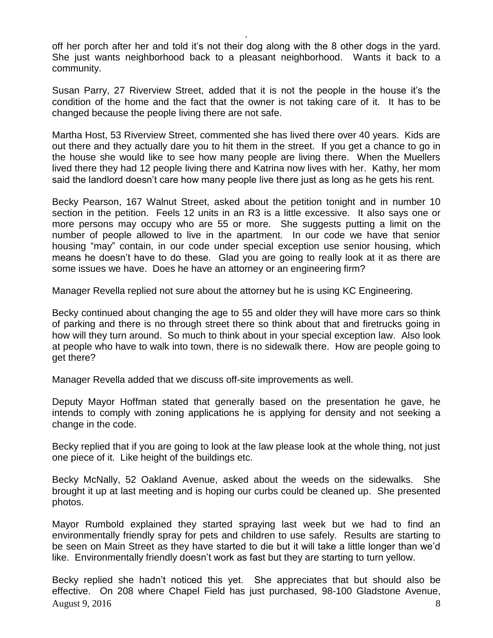off her porch after her and told it's not their dog along with the 8 other dogs in the yard. She just wants neighborhood back to a pleasant neighborhood. Wants it back to a community.

.

Susan Parry, 27 Riverview Street, added that it is not the people in the house it's the condition of the home and the fact that the owner is not taking care of it. It has to be changed because the people living there are not safe.

Martha Host, 53 Riverview Street, commented she has lived there over 40 years. Kids are out there and they actually dare you to hit them in the street. If you get a chance to go in the house she would like to see how many people are living there. When the Muellers lived there they had 12 people living there and Katrina now lives with her. Kathy, her mom said the landlord doesn't care how many people live there just as long as he gets his rent.

Becky Pearson, 167 Walnut Street, asked about the petition tonight and in number 10 section in the petition. Feels 12 units in an R3 is a little excessive. It also says one or more persons may occupy who are 55 or more. She suggests putting a limit on the number of people allowed to live in the apartment. In our code we have that senior housing "may" contain, in our code under special exception use senior housing, which means he doesn't have to do these. Glad you are going to really look at it as there are some issues we have. Does he have an attorney or an engineering firm?

Manager Revella replied not sure about the attorney but he is using KC Engineering.

Becky continued about changing the age to 55 and older they will have more cars so think of parking and there is no through street there so think about that and firetrucks going in how will they turn around. So much to think about in your special exception law. Also look at people who have to walk into town, there is no sidewalk there. How are people going to get there?

Manager Revella added that we discuss off-site improvements as well.

Deputy Mayor Hoffman stated that generally based on the presentation he gave, he intends to comply with zoning applications he is applying for density and not seeking a change in the code.

Becky replied that if you are going to look at the law please look at the whole thing, not just one piece of it. Like height of the buildings etc.

Becky McNally, 52 Oakland Avenue, asked about the weeds on the sidewalks. She brought it up at last meeting and is hoping our curbs could be cleaned up. She presented photos.

Mayor Rumbold explained they started spraying last week but we had to find an environmentally friendly spray for pets and children to use safely. Results are starting to be seen on Main Street as they have started to die but it will take a little longer than we'd like. Environmentally friendly doesn't work as fast but they are starting to turn yellow.

August 9, 2016  $\overline{\phantom{a}}$  8 Becky replied she hadn't noticed this yet. She appreciates that but should also be effective. On 208 where Chapel Field has just purchased, 98-100 Gladstone Avenue,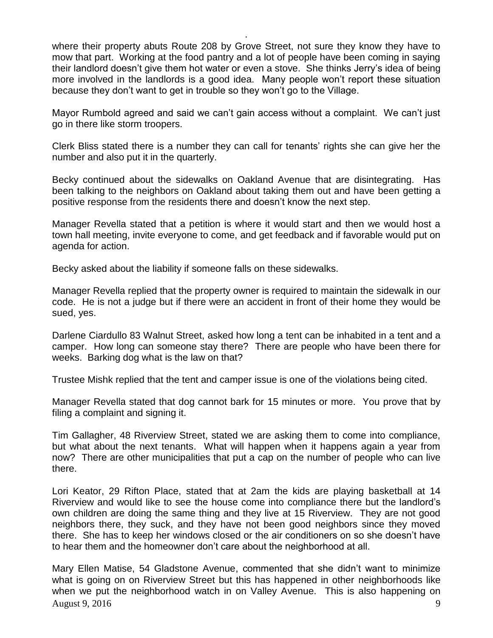where their property abuts Route 208 by Grove Street, not sure they know they have to mow that part. Working at the food pantry and a lot of people have been coming in saying their landlord doesn't give them hot water or even a stove. She thinks Jerry's idea of being more involved in the landlords is a good idea. Many people won't report these situation because they don't want to get in trouble so they won't go to the Village.

.

Mayor Rumbold agreed and said we can't gain access without a complaint. We can't just go in there like storm troopers.

Clerk Bliss stated there is a number they can call for tenants' rights she can give her the number and also put it in the quarterly.

Becky continued about the sidewalks on Oakland Avenue that are disintegrating. Has been talking to the neighbors on Oakland about taking them out and have been getting a positive response from the residents there and doesn't know the next step.

Manager Revella stated that a petition is where it would start and then we would host a town hall meeting, invite everyone to come, and get feedback and if favorable would put on agenda for action.

Becky asked about the liability if someone falls on these sidewalks.

Manager Revella replied that the property owner is required to maintain the sidewalk in our code. He is not a judge but if there were an accident in front of their home they would be sued, yes.

Darlene Ciardullo 83 Walnut Street, asked how long a tent can be inhabited in a tent and a camper. How long can someone stay there? There are people who have been there for weeks. Barking dog what is the law on that?

Trustee Mishk replied that the tent and camper issue is one of the violations being cited.

Manager Revella stated that dog cannot bark for 15 minutes or more. You prove that by filing a complaint and signing it.

Tim Gallagher, 48 Riverview Street, stated we are asking them to come into compliance, but what about the next tenants. What will happen when it happens again a year from now? There are other municipalities that put a cap on the number of people who can live there.

Lori Keator, 29 Rifton Place, stated that at 2am the kids are playing basketball at 14 Riverview and would like to see the house come into compliance there but the landlord's own children are doing the same thing and they live at 15 Riverview. They are not good neighbors there, they suck, and they have not been good neighbors since they moved there. She has to keep her windows closed or the air conditioners on so she doesn't have to hear them and the homeowner don't care about the neighborhood at all.

August 9, 2016  $\frac{9}{2}$ Mary Ellen Matise, 54 Gladstone Avenue, commented that she didn't want to minimize what is going on on Riverview Street but this has happened in other neighborhoods like when we put the neighborhood watch in on Valley Avenue. This is also happening on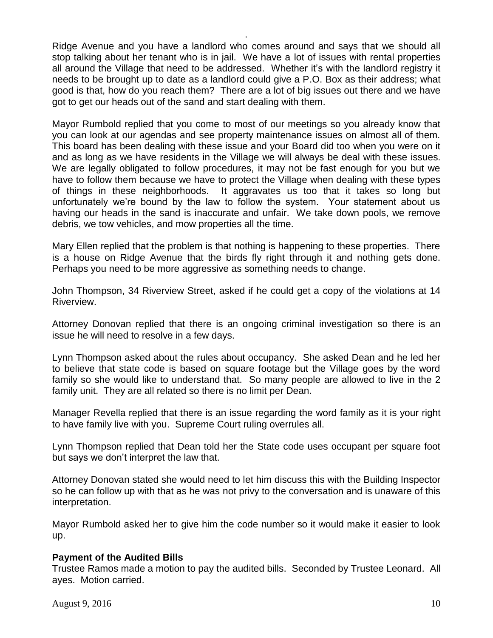Ridge Avenue and you have a landlord who comes around and says that we should all stop talking about her tenant who is in jail. We have a lot of issues with rental properties all around the Village that need to be addressed. Whether it's with the landlord registry it needs to be brought up to date as a landlord could give a P.O. Box as their address; what good is that, how do you reach them? There are a lot of big issues out there and we have got to get our heads out of the sand and start dealing with them.

.

Mayor Rumbold replied that you come to most of our meetings so you already know that you can look at our agendas and see property maintenance issues on almost all of them. This board has been dealing with these issue and your Board did too when you were on it and as long as we have residents in the Village we will always be deal with these issues. We are legally obligated to follow procedures, it may not be fast enough for you but we have to follow them because we have to protect the Village when dealing with these types of things in these neighborhoods. It aggravates us too that it takes so long but unfortunately we're bound by the law to follow the system. Your statement about us having our heads in the sand is inaccurate and unfair. We take down pools, we remove debris, we tow vehicles, and mow properties all the time.

Mary Ellen replied that the problem is that nothing is happening to these properties. There is a house on Ridge Avenue that the birds fly right through it and nothing gets done. Perhaps you need to be more aggressive as something needs to change.

John Thompson, 34 Riverview Street, asked if he could get a copy of the violations at 14 Riverview.

Attorney Donovan replied that there is an ongoing criminal investigation so there is an issue he will need to resolve in a few days.

Lynn Thompson asked about the rules about occupancy. She asked Dean and he led her to believe that state code is based on square footage but the Village goes by the word family so she would like to understand that. So many people are allowed to live in the 2 family unit. They are all related so there is no limit per Dean.

Manager Revella replied that there is an issue regarding the word family as it is your right to have family live with you. Supreme Court ruling overrules all.

Lynn Thompson replied that Dean told her the State code uses occupant per square foot but says we don't interpret the law that.

Attorney Donovan stated she would need to let him discuss this with the Building Inspector so he can follow up with that as he was not privy to the conversation and is unaware of this interpretation.

Mayor Rumbold asked her to give him the code number so it would make it easier to look up.

# **Payment of the Audited Bills**

Trustee Ramos made a motion to pay the audited bills. Seconded by Trustee Leonard. All ayes. Motion carried.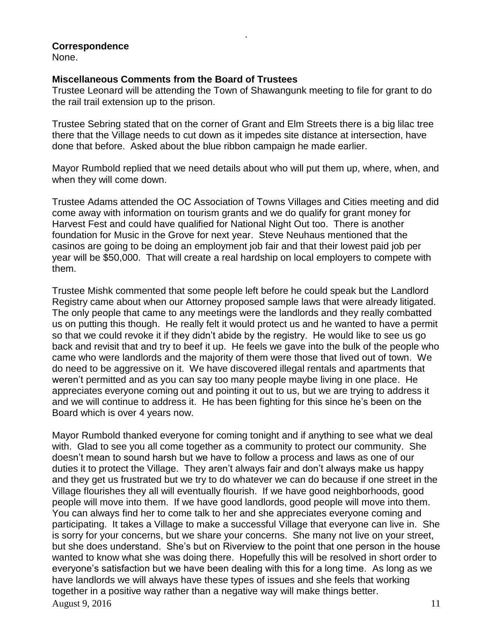# **Correspondence**

None.

# **Miscellaneous Comments from the Board of Trustees**

Trustee Leonard will be attending the Town of Shawangunk meeting to file for grant to do the rail trail extension up to the prison.

.

Trustee Sebring stated that on the corner of Grant and Elm Streets there is a big lilac tree there that the Village needs to cut down as it impedes site distance at intersection, have done that before. Asked about the blue ribbon campaign he made earlier.

Mayor Rumbold replied that we need details about who will put them up, where, when, and when they will come down.

Trustee Adams attended the OC Association of Towns Villages and Cities meeting and did come away with information on tourism grants and we do qualify for grant money for Harvest Fest and could have qualified for National Night Out too. There is another foundation for Music in the Grove for next year. Steve Neuhaus mentioned that the casinos are going to be doing an employment job fair and that their lowest paid job per year will be \$50,000. That will create a real hardship on local employers to compete with them.

Trustee Mishk commented that some people left before he could speak but the Landlord Registry came about when our Attorney proposed sample laws that were already litigated. The only people that came to any meetings were the landlords and they really combatted us on putting this though. He really felt it would protect us and he wanted to have a permit so that we could revoke it if they didn't abide by the registry. He would like to see us go back and revisit that and try to beef it up. He feels we gave into the bulk of the people who came who were landlords and the majority of them were those that lived out of town. We do need to be aggressive on it. We have discovered illegal rentals and apartments that weren't permitted and as you can say too many people maybe living in one place. He appreciates everyone coming out and pointing it out to us, but we are trying to address it and we will continue to address it. He has been fighting for this since he's been on the Board which is over 4 years now.

August 9, 2016  $11$ Mayor Rumbold thanked everyone for coming tonight and if anything to see what we deal with. Glad to see you all come together as a community to protect our community. She doesn't mean to sound harsh but we have to follow a process and laws as one of our duties it to protect the Village. They aren't always fair and don't always make us happy and they get us frustrated but we try to do whatever we can do because if one street in the Village flourishes they all will eventually flourish. If we have good neighborhoods, good people will move into them. If we have good landlords, good people will move into them. You can always find her to come talk to her and she appreciates everyone coming and participating. It takes a Village to make a successful Village that everyone can live in. She is sorry for your concerns, but we share your concerns. She many not live on your street, but she does understand. She's but on Riverview to the point that one person in the house wanted to know what she was doing there. Hopefully this will be resolved in short order to everyone's satisfaction but we have been dealing with this for a long time. As long as we have landlords we will always have these types of issues and she feels that working together in a positive way rather than a negative way will make things better.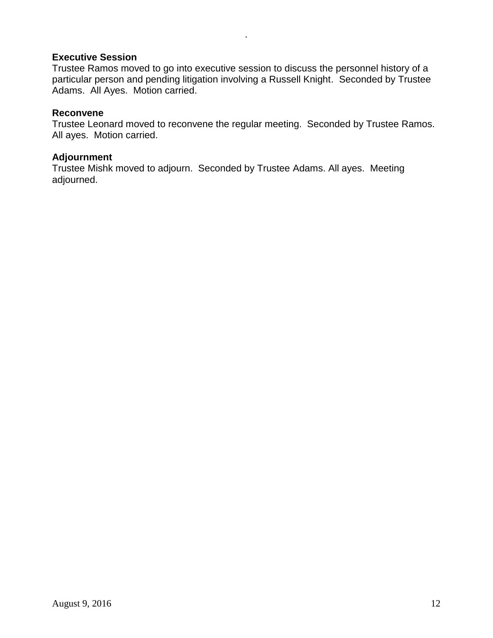# **Executive Session**

Trustee Ramos moved to go into executive session to discuss the personnel history of a particular person and pending litigation involving a Russell Knight. Seconded by Trustee Adams. All Ayes. Motion carried.

.

# **Reconvene**

Trustee Leonard moved to reconvene the regular meeting. Seconded by Trustee Ramos. All ayes. Motion carried.

## **Adjournment**

Trustee Mishk moved to adjourn. Seconded by Trustee Adams. All ayes. Meeting adjourned.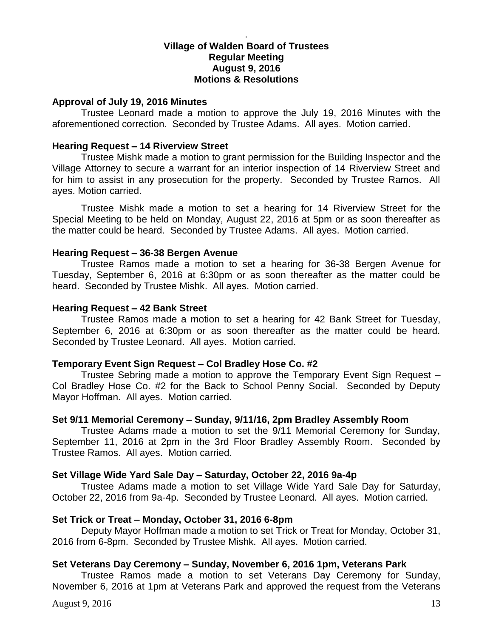## **Village of Walden Board of Trustees Regular Meeting August 9, 2016 Motions & Resolutions**

.

### **Approval of July 19, 2016 Minutes**

Trustee Leonard made a motion to approve the July 19, 2016 Minutes with the aforementioned correction. Seconded by Trustee Adams. All ayes. Motion carried.

### **Hearing Request – 14 Riverview Street**

Trustee Mishk made a motion to grant permission for the Building Inspector and the Village Attorney to secure a warrant for an interior inspection of 14 Riverview Street and for him to assist in any prosecution for the property. Seconded by Trustee Ramos. All ayes. Motion carried.

Trustee Mishk made a motion to set a hearing for 14 Riverview Street for the Special Meeting to be held on Monday, August 22, 2016 at 5pm or as soon thereafter as the matter could be heard. Seconded by Trustee Adams. All ayes. Motion carried.

### **Hearing Request – 36-38 Bergen Avenue**

Trustee Ramos made a motion to set a hearing for 36-38 Bergen Avenue for Tuesday, September 6, 2016 at 6:30pm or as soon thereafter as the matter could be heard. Seconded by Trustee Mishk. All ayes. Motion carried.

### **Hearing Request – 42 Bank Street**

Trustee Ramos made a motion to set a hearing for 42 Bank Street for Tuesday, September 6, 2016 at 6:30pm or as soon thereafter as the matter could be heard. Seconded by Trustee Leonard. All ayes. Motion carried.

### **Temporary Event Sign Request – Col Bradley Hose Co. #2**

Trustee Sebring made a motion to approve the Temporary Event Sign Request – Col Bradley Hose Co. #2 for the Back to School Penny Social. Seconded by Deputy Mayor Hoffman. All ayes. Motion carried.

### **Set 9/11 Memorial Ceremony – Sunday, 9/11/16, 2pm Bradley Assembly Room**

Trustee Adams made a motion to set the 9/11 Memorial Ceremony for Sunday, September 11, 2016 at 2pm in the 3rd Floor Bradley Assembly Room. Seconded by Trustee Ramos. All ayes. Motion carried.

### **Set Village Wide Yard Sale Day – Saturday, October 22, 2016 9a-4p**

Trustee Adams made a motion to set Village Wide Yard Sale Day for Saturday, October 22, 2016 from 9a-4p. Seconded by Trustee Leonard. All ayes. Motion carried.

### **Set Trick or Treat – Monday, October 31, 2016 6-8pm**

Deputy Mayor Hoffman made a motion to set Trick or Treat for Monday, October 31, 2016 from 6-8pm. Seconded by Trustee Mishk. All ayes. Motion carried.

### **Set Veterans Day Ceremony – Sunday, November 6, 2016 1pm, Veterans Park**

Trustee Ramos made a motion to set Veterans Day Ceremony for Sunday, November 6, 2016 at 1pm at Veterans Park and approved the request from the Veterans